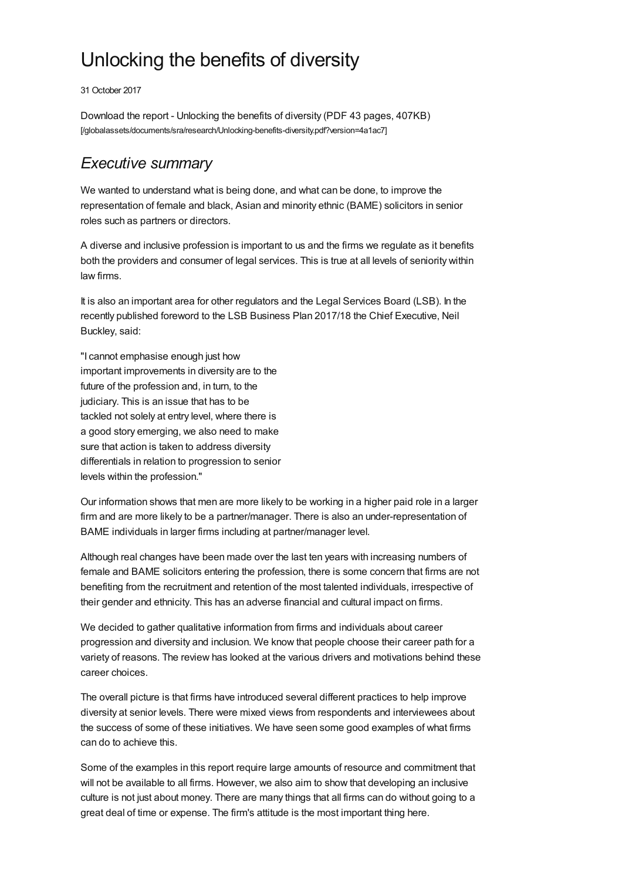# Unlocking the benefits of diversity

31 October 2017

Download the report - Unlocking the benefits of diversity (PDF 43 pages, 407KB) [\[/globalassets/documents/sra/research/Unlocking-benefits-diversity.pdf?version=4a1ac7\]](https://www.sra.org.uk/globalassets/documents/sra/research/Unlocking-benefits-diversity.pdf?version=4a1ac7)

## *Executive summary*

We wanted to understand what is being done, and what can be done, to improve the representation of female and black, Asian and minority ethnic (BAME) solicitors in senior roles such as partners or directors.

A diverse and inclusive profession is important to us and the firms we regulate as it benefits both the providers and consumer of legal services. This is true at all levels of seniority within law firms.

It is also an important area for other regulators and the Legal Services Board (LSB). In the recently published foreword to the LSB Business Plan 2017/18 the Chief Executive, Neil Buckley, said:

"I cannot emphasise enough just how important improvements in diversity are to the future of the profession and, in turn, to the judiciary. This is an issue that has to be tackled not solely at entry level, where there is a good story emerging, we also need to make sure that action is taken to address diversity differentials in relation to progression to senior levels within the profession."

Our information shows that men are more likely to be working in a higher paid role in a larger firm and are more likely to be a partner/manager. There is also an under-representation of BAME individuals in larger firms including at partner/manager level.

Although real changes have been made over the last ten years with increasing numbers of female and BAME solicitors entering the profession, there is some concern that firms are not benefiting from the recruitment and retention of the most talented individuals, irrespective of their gender and ethnicity. This has an adverse financial and cultural impact on firms.

We decided to gather qualitative information from firms and individuals about career progression and diversity and inclusion. We know that people choose their career path for a variety of reasons. The review has looked at the various drivers and motivations behind these career choices.

The overall picture is that firms have introduced several different practices to help improve diversity at senior levels. There were mixed views from respondents and interviewees about the success of some of these initiatives. We have seen some good examples of what firms can do to achieve this.

Some of the examples in this report require large amounts of resource and commitment that will not be available to all firms. However, we also aim to show that developing an inclusive culture is not just about money. There are many things that all firms can do without going to a great deal of time or expense. The firm's attitude is the most important thing here.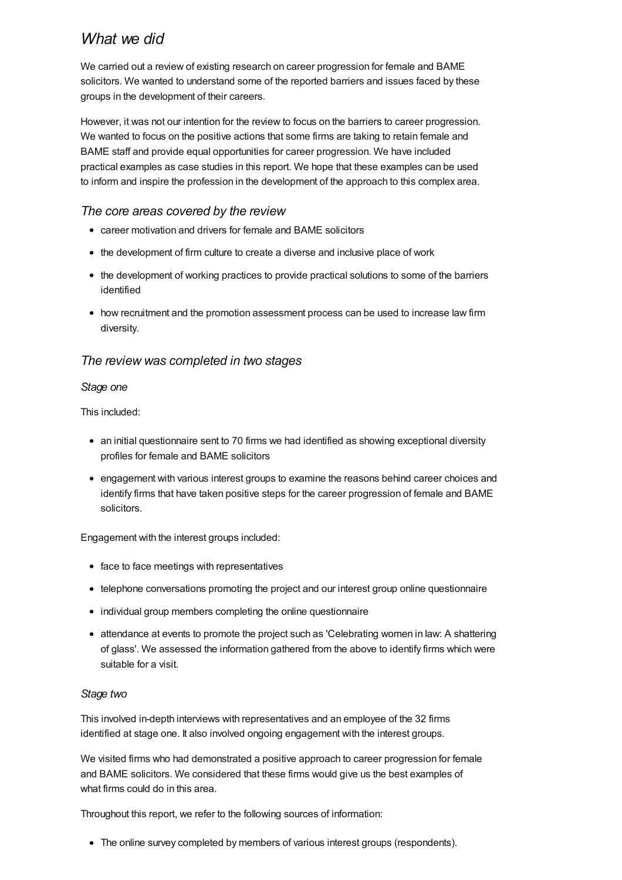## *What we did*

We carried out a review of existing research on career progression for female and BAME solicitors. We wanted to understand some of the reported barriers and issues faced by these groups in the development of their careers.

However, it was not our intention for the review to focus on the barriers to career progression. We wanted to focus on the positive actions that some firms are taking to retain female and BAME staff and provide equal opportunities for career progression. We have included practical examples as case studies in this report. We hope that these examples can be used to inform and inspire the profession in the development of the approach to this complex area.

## *The core areas covered by the review*

- career motivation and drivers for female and BAME solicitors
- the development of firm culture to create a diverse and inclusive place of work
- the development of working practices to provide practical solutions to some of the barriers identified
- how recruitment and the promotion assessment process can be used to increase law firm diversity.

## *The review was completed in two stages*

### *Stage one*

This included:

- an initial questionnaire sent to 70 firms we had identified as showing exceptional diversity profiles for female and BAME solicitors
- engagement with various interest groups to examine the reasons behind career choices and identify firms that have taken positive steps for the career progression of female and BAME solicitors.

Engagement with the interest groups included:

- face to face meetings with representatives
- telephone conversations promoting the project and our interest group online questionnaire
- individual group members completing the online questionnaire
- attendance at events to promote the project such as 'Celebrating women in law: A shattering of glass'. We assessed the information gathered from the above to identify firms which were suitable for a visit.

#### *Stage two*

This involved in-depth interviews with representatives and an employee of the 32 firms identified at stage one. It also involved ongoing engagement with the interest groups.

We visited firms who had demonstrated a positive approach to career progression for female and BAME solicitors. We considered that these firms would give us the best examples of what firms could do in this area.

Throughout this report, we refer to the following sources of information:

• The online survey completed by members of various interest groups (respondents).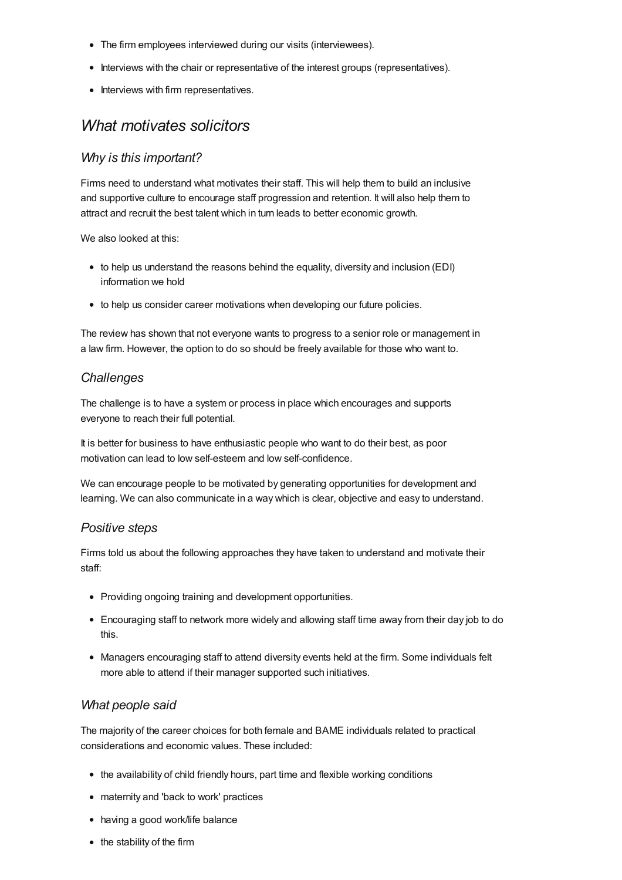- The firm employees interviewed during our visits (interviewees).
- Interviews with the chair or representative of the interest groups (representatives).
- Interviews with firm representatives.

## *What motivates solicitors*

## *Why is this important?*

Firms need to understand what motivates their staff. This will help them to build an inclusive and supportive culture to encourage staff progression and retention. It will also help them to attract and recruit the best talent which in turn leads to better economic growth.

We also looked at this:

- to help us understand the reasons behind the equality, diversity and inclusion (EDI) information we hold
- to help us consider career motivations when developing our future policies.

The review has shown that not everyone wants to progress to a senior role or management in a law firm. However, the option to do so should be freely available for those who want to.

## *Challenges*

The challenge is to have a system or process in place which encourages and supports everyone to reach their full potential.

It is better for business to have enthusiastic people who want to do their best, as poor motivation can lead to low self-esteem and low self-confidence.

We can encourage people to be motivated by generating opportunities for development and learning. We can also communicate in a way which is clear, objective and easy to understand.

## *Positive steps*

Firms told us about the following approaches they have taken to understand and motivate their staff:

- Providing ongoing training and development opportunities.
- Encouraging staff to network more widely and allowing staff time away from their day job to do this.
- Managers encouraging staff to attend diversity events held at the firm. Some individuals felt more able to attend if their manager supported such initiatives.

## *What people said*

The majority of the career choices for both female and BAME individuals related to practical considerations and economic values. These included:

- the availability of child friendly hours, part time and flexible working conditions
- maternity and 'back to work' practices
- having a good work/life balance
- the stability of the firm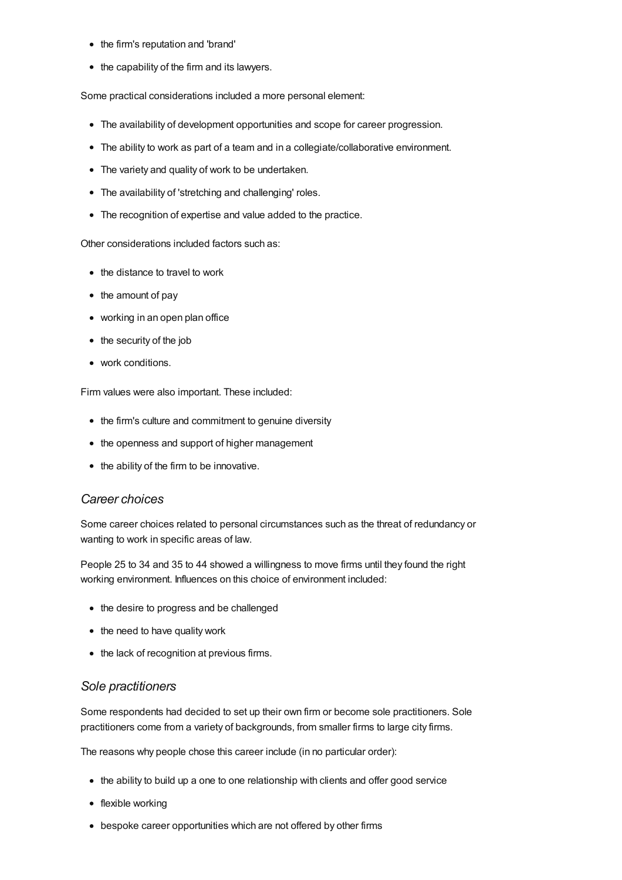- the firm's reputation and 'brand'
- the capability of the firm and its lawyers.

Some practical considerations included a more personal element:

- The availability of development opportunities and scope for career progression.
- The ability to work as part of a team and in a collegiate/collaborative environment.
- The variety and quality of work to be undertaken.
- The availability of 'stretching and challenging' roles.
- The recognition of expertise and value added to the practice.

Other considerations included factors such as:

- the distance to travel to work
- the amount of pay
- working in an open plan office
- the security of the job
- work conditions.

Firm values were also important. These included:

- the firm's culture and commitment to genuine diversity
- the openness and support of higher management
- the ability of the firm to be innovative.

#### *Career choices*

Some career choices related to personal circumstances such as the threat of redundancy or wanting to work in specific areas of law.

People 25 to 34 and 35 to 44 showed a willingness to move firms until they found the right working environment. Influences on this choice of environment included:

- the desire to progress and be challenged
- the need to have quality work
- the lack of recognition at previous firms.

#### *Sole practitioners*

Some respondents had decided to set up their own firm or become sole practitioners. Sole practitioners come from a variety of backgrounds, from smaller firms to large city firms.

The reasons why people chose this career include (in no particular order):

- the ability to build up a one to one relationship with clients and offer good service
- flexible working
- bespoke career opportunities which are not offered by other firms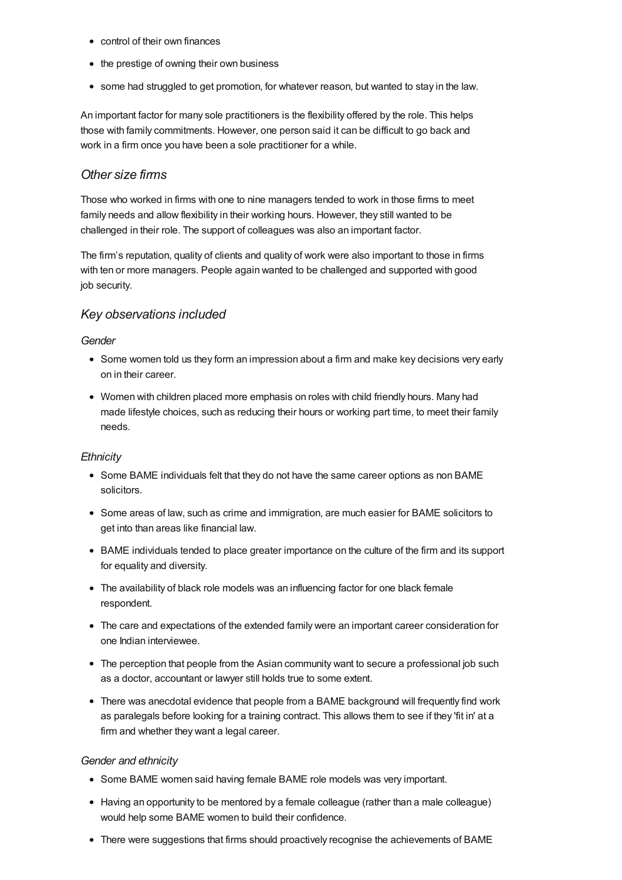- control of their own finances
- the prestige of owning their own business
- some had struggled to get promotion, for whatever reason, but wanted to stay in the law.

An important factor for many sole practitioners is the flexibility offered by the role. This helps those with family commitments. However, one person said it can be difficult to go back and work in a firm once you have been a sole practitioner for a while.

## *Other size firms*

Those who worked in firms with one to nine managers tended to work in those firms to meet family needs and allow flexibility in their working hours. However, they still wanted to be challenged in their role. The support of colleagues was also an important factor.

The firm's reputation, quality of clients and quality of work were also important to those in firms with ten or more managers. People again wanted to be challenged and supported with good job security.

## *Key observations included*

#### *Gender*

- Some women told us they form an impression about a firm and make key decisions very early on in their career.
- Women with children placed more emphasis on roles with child friendly hours. Many had made lifestyle choices, such as reducing their hours or working part time, to meet their family needs.

#### *Ethnicity*

- Some BAME individuals felt that they do not have the same career options as non BAME solicitors.
- Some areas of law, such as crime and immigration, are much easier for BAME solicitors to get into than areas like financial law.
- BAME individuals tended to place greater importance on the culture of the firm and its support for equality and diversity.
- The availability of black role models was an influencing factor for one black female respondent.
- The care and expectations of the extended family were an important career consideration for one Indian interviewee.
- The perception that people from the Asian community want to secure a professional job such as a doctor, accountant or lawyer still holds true to some extent.
- There was anecdotal evidence that people from a BAME background will frequently find work as paralegals before looking for a training contract. This allows them to see if they 'fit in' at a firm and whether they want a legal career.

#### *Gender and ethnicity*

- Some BAME women said having female BAME role models was very important.
- Having an opportunity to be mentored by a female colleague (rather than a male colleague) would help some BAME women to build their confidence.
- There were suggestions that firms should proactively recognise the achievements of BAME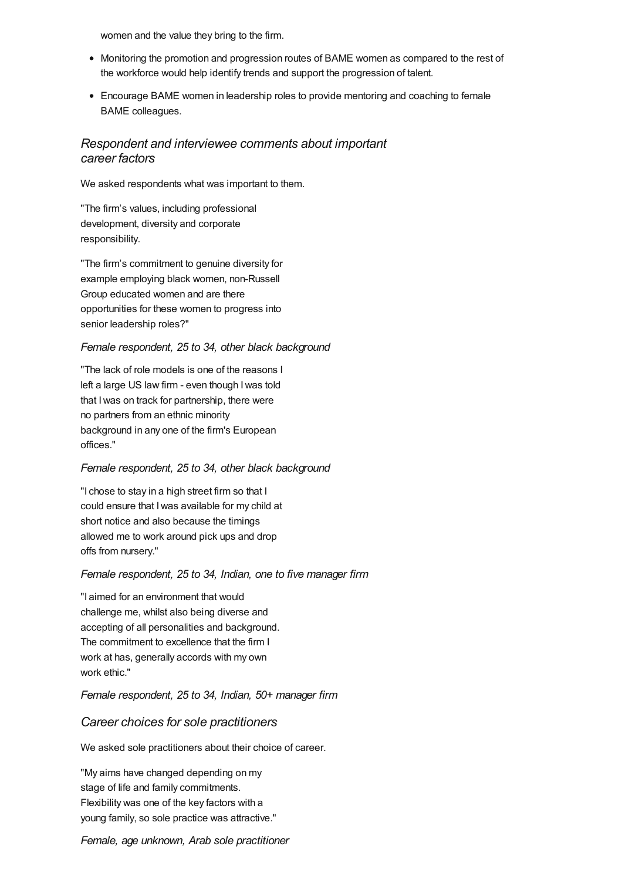women and the value they bring to the firm.

- Monitoring the promotion and progression routes of BAME women as compared to the rest of the workforce would help identify trends and support the progression of talent.
- Encourage BAME women in leadership roles to provide mentoring and coaching to female BAME colleagues.

## *Respondent and interviewee comments about important career factors*

We asked respondents what was important to them.

"The firm's values, including professional development, diversity and corporate responsibility.

"The firm's commitment to genuine diversity for example employing black women, non-Russell Group educated women and are there opportunities for these women to progress into senior leadership roles?"

#### *Female respondent, 25 to 34, other black background*

"The lack of role models is one of the reasons I left a large US law firm - even though Iwas told that Iwas on track for partnership, there were no partners from an ethnic minority background in any one of the firm's European offices."

#### *Female respondent, 25 to 34, other black background*

"I chose to stay in a high street firm so that I could ensure that Iwas available for my child at short notice and also because the timings allowed me to work around pick ups and drop offs from nursery."

#### *Female respondent, 25 to 34, Indian, one to five manager firm*

"I aimed for an environment that would challenge me, whilst also being diverse and accepting of all personalities and background. The commitment to excellence that the firm I work at has, generally accords with my own work ethic."

#### *Female respondent, 25 to 34, Indian, 50+ manager firm*

#### *Career choices for sole practitioners*

We asked sole practitioners about their choice of career.

"My aims have changed depending on my stage of life and family commitments. Flexibility was one of the key factors with a young family, so sole practice was attractive."

#### *Female, age unknown, Arab sole practitioner*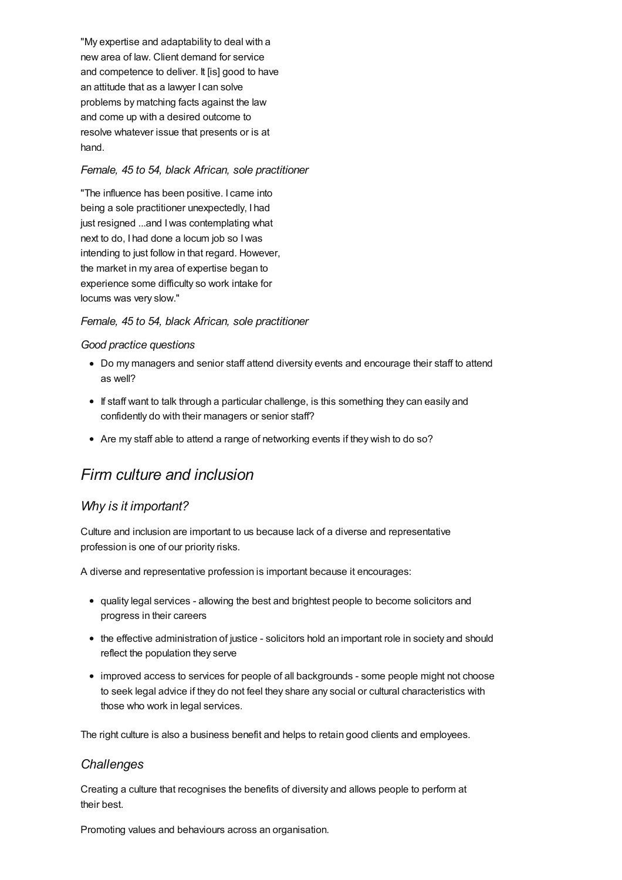"My expertise and adaptability to deal with a new area of law. Client demand for service and competence to deliver. It [is] good to have an attitude that as a lawyer I can solve problems by matching facts against the law and come up with a desired outcome to resolve whatever issue that presents or is at hand.

#### *Female, 45 to 54, black African, sole practitioner*

"The influence has been positive. I came into being a sole practitioner unexpectedly, I had just resigned ...and Iwas contemplating what next to do, I had done a locum job so Iwas intending to just follow in that regard. However, the market in my area of expertise began to experience some difficulty so work intake for locums was very slow."

## *Female, 45 to 54, black African, sole practitioner*

#### *Good practice questions*

- Do my managers and senior staff attend diversity events and encourage their staff to attend as well?
- If staff want to talk through a particular challenge, is this something they can easily and confidently do with their managers or senior staff?
- Are my staff able to attend a range of networking events if they wish to do so?

## *Firm culture and inclusion*

## *Why is it important?*

Culture and inclusion are important to us because lack of a diverse and representative profession is one of our priority risks.

A diverse and representative profession is important because it encourages:

- quality legal services allowing the best and brightest people to become solicitors and progress in their careers
- the effective administration of justice solicitors hold an important role in society and should reflect the population they serve
- improved access to services for people of all backgrounds some people might not choose to seek legal advice if they do not feel they share any social or cultural characteristics with those who work in legal services.

The right culture is also a business benefit and helps to retain good clients and employees.

## *Challenges*

Creating a culture that recognises the benefits of diversity and allows people to perform at their best.

Promoting values and behaviours across an organisation.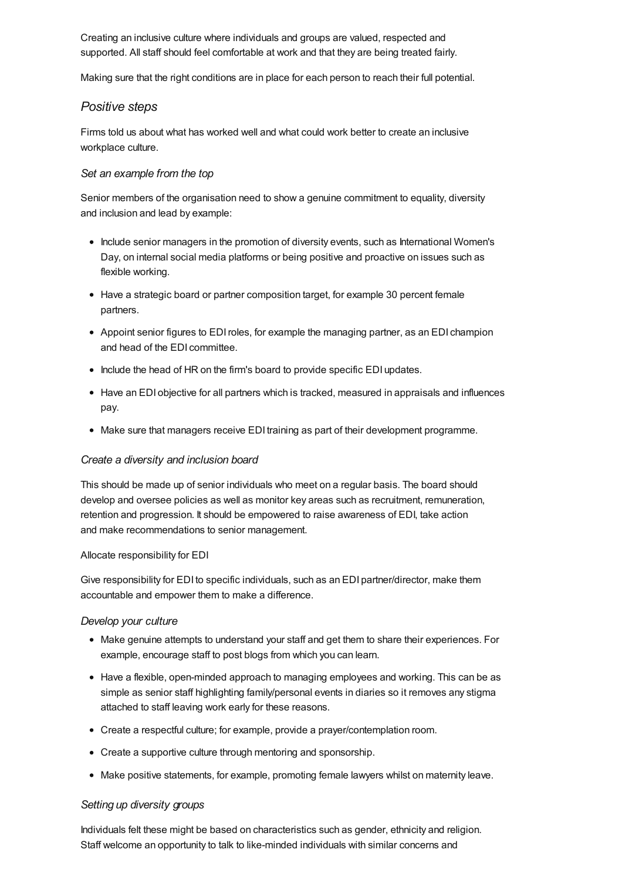Creating an inclusive culture where individuals and groups are valued, respected and supported. All staff should feel comfortable at work and that they are being treated fairly.

Making sure that the right conditions are in place for each person to reach their full potential.

## *Positive steps*

Firms told us about what has worked well and what could work better to create an inclusive workplace culture.

#### *Set an example from the top*

Senior members of the organisation need to show a genuine commitment to equality, diversity and inclusion and lead by example:

- Include senior managers in the promotion of diversity events, such as International Women's Day, on internal social media platforms or being positive and proactive on issues such as flexible working.
- Have a strategic board or partner composition target, for example 30 percent female partners.
- Appoint senior figures to EDIroles, for example the managing partner, as an EDI champion and head of the EDI committee.
- Include the head of HR on the firm's board to provide specific EDI updates.
- Have an EDI objective for all partners which is tracked, measured in appraisals and influences pay.
- Make sure that managers receive EDI training as part of their development programme.

#### *Create a diversity and inclusion board*

This should be made up of senior individuals who meet on a regular basis. The board should develop and oversee policies as well as monitor key areas such as recruitment, remuneration, retention and progression. It should be empowered to raise awareness of EDI, take action and make recommendations to senior management.

#### Allocate responsibility for EDI

Give responsibility for EDI to specific individuals, such as an EDI partner/director, make them accountable and empower them to make a difference.

#### *Develop your culture*

- Make genuine attempts to understand your staff and get them to share their experiences. For example, encourage staff to post blogs from which you can learn.
- Have a flexible, open-minded approach to managing employees and working. This can be as simple as senior staff highlighting family/personal events in diaries so it removes any stigma attached to staff leaving work early for these reasons.
- Create a respectful culture; for example, provide a prayer/contemplation room.
- Create a supportive culture through mentoring and sponsorship.
- Make positive statements, for example, promoting female lawyers whilst on maternity leave.

#### *Setting up diversity groups*

Individuals felt these might be based on characteristics such as gender, ethnicity and religion. Staff welcome an opportunity to talk to like-minded individuals with similar concerns and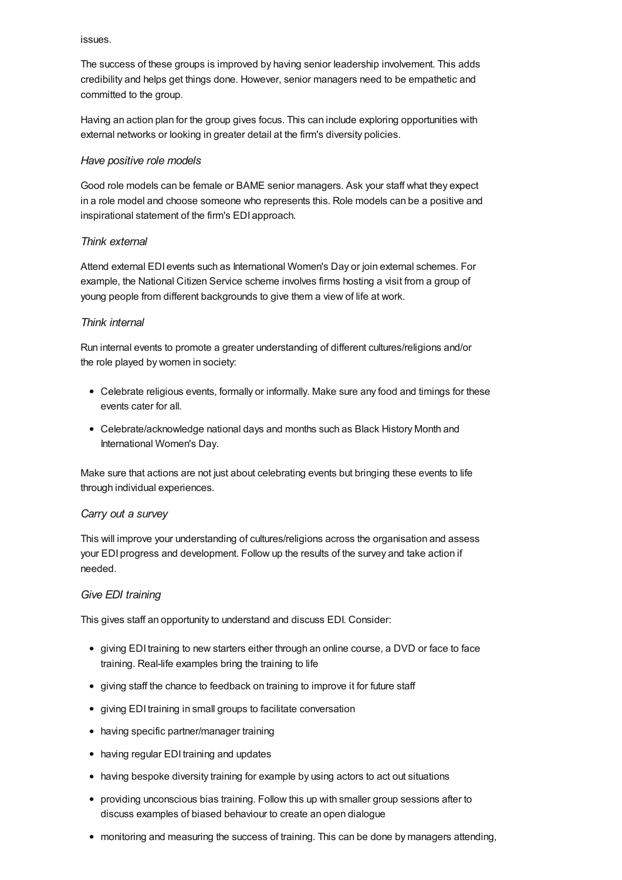#### issues.

The success of these groups is improved by having senior leadership involvement. This adds credibility and helps get things done. However, senior managers need to be empathetic and committed to the group.

Having an action plan for the group gives focus. This can include exploring opportunities with external networks or looking in greater detail at the firm's diversity policies.

#### *Have positive role models*

Good role models can be female or BAME senior managers. Ask your staff what they expect in a role model and choose someone who represents this. Role models can be a positive and inspirational statement of the firm's EDI approach.

#### *Think external*

Attend external EDI events such as International Women's Day or join external schemes. For example, the National Citizen Service scheme involves firms hosting a visit from a group of young people from different backgrounds to give them a view of life at work.

#### *Think internal*

Run internal events to promote a greater understanding of different cultures/religions and/or the role played by women in society:

- Celebrate religious events, formally or informally. Make sure any food and timings for these events cater for all.
- Celebrate/acknowledge national days and months such as Black History Month and International Women's Day.

Make sure that actions are not just about celebrating events but bringing these events to life through individual experiences.

#### *Carry out a survey*

This will improve your understanding of cultures/religions across the organisation and assess your EDI progress and development. Follow up the results of the survey and take action if needed.

#### *Give EDI training*

This gives staff an opportunity to understand and discuss EDI. Consider:

- giving EDI training to new starters either through an online course, a DVD or face to face training. Real-life examples bring the training to life
- giving staff the chance to feedback on training to improve it for future staff
- giving EDI training in small groups to facilitate conversation
- having specific partner/manager training
- having regular EDI training and updates
- having bespoke diversity training for example by using actors to act out situations
- providing unconscious bias training. Follow this up with smaller group sessions after to discuss examples of biased behaviour to create an open dialogue
- monitoring and measuring the success of training. This can be done by managers attending,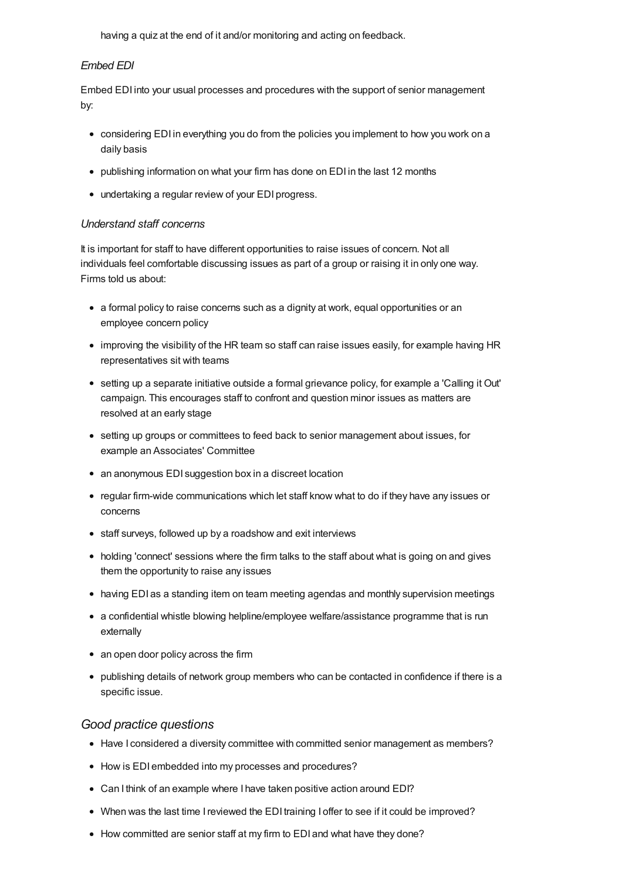having a quiz at the end of it and/or monitoring and acting on feedback.

#### *Embed EDI*

Embed EDI into your usual processes and procedures with the support of senior management by:

- considering EDI in everything you do from the policies you implement to how you work on a daily basis
- publishing information on what your firm has done on EDI in the last 12 months
- undertaking a regular review of your EDI progress.

#### *Understand staff concerns*

It is important for staff to have different opportunities to raise issues of concern. Not all individuals feel comfortable discussing issues as part of a group or raising it in only one way. Firms told us about:

- a formal policy to raise concerns such as a dignity at work, equal opportunities or an employee concern policy
- improving the visibility of the HR team so staff can raise issues easily, for example having HR representatives sit with teams
- setting up a separate initiative outside a formal grievance policy, for example a 'Calling it Out' campaign. This encourages staff to confront and question minor issues as matters are resolved at an early stage
- setting up groups or committees to feed back to senior management about issues, for example an Associates' Committee
- an anonymous EDI suggestion box in a discreet location
- regular firm-wide communications which let staff know what to do if they have any issues or concerns
- staff surveys, followed up by a roadshow and exit interviews
- holding 'connect' sessions where the firm talks to the staff about what is going on and gives them the opportunity to raise any issues
- having EDI as a standing item on team meeting agendas and monthly supervision meetings
- a confidential whistle blowing helpline/employee welfare/assistance programme that is run externally
- an open door policy across the firm
- publishing details of network group members who can be contacted in confidence if there is a specific issue.

## *Good practice questions*

- Have I considered a diversity committee with committed senior management as members?
- How is EDI embedded into my processes and procedures?
- Can I think of an example where I have taken positive action around EDI?
- When was the last time I reviewed the EDI training I offer to see if it could be improved?
- How committed are senior staff at my firm to EDI and what have they done?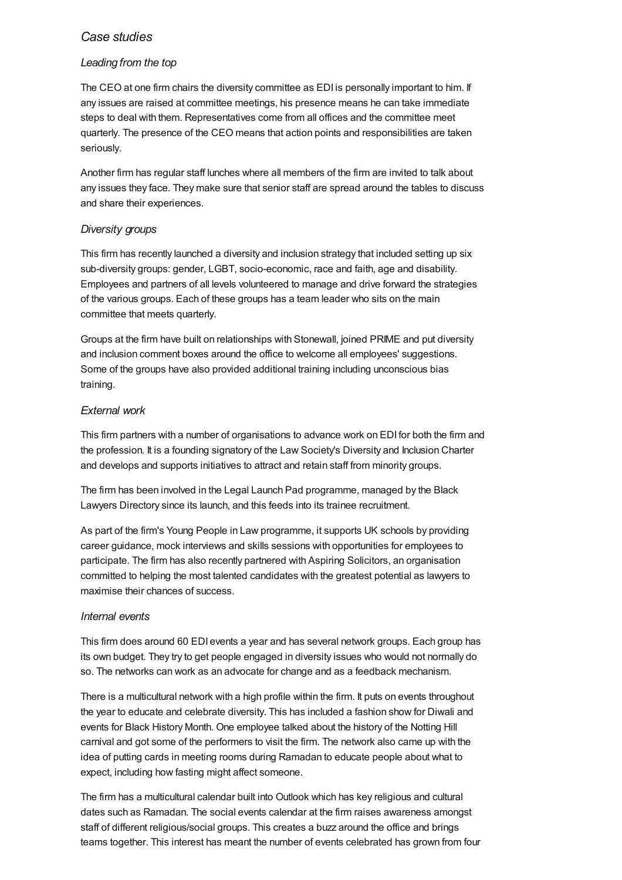## *Case studies*

### *Leading from the top*

The CEO at one firm chairs the diversity committee as EDI is personally important to him. If any issues are raised at committee meetings, his presence means he can take immediate steps to deal with them. Representatives come from all offices and the committee meet quarterly. The presence of the CEO means that action points and responsibilities are taken seriously.

Another firm has regular staff lunches where all members of the firm are invited to talk about any issues they face. They make sure that senior staff are spread around the tables to discuss and share their experiences.

### *Diversity groups*

This firm has recently launched a diversity and inclusion strategy that included setting up six sub-diversity groups: gender, LGBT, socio-economic, race and faith, age and disability. Employees and partners of all levels volunteered to manage and drive forward the strategies of the various groups. Each of these groups has a team leader who sits on the main committee that meets quarterly.

Groups at the firm have built on relationships with Stonewall, joined PRIME and put diversity and inclusion comment boxes around the office to welcome all employees' suggestions. Some of the groups have also provided additional training including unconscious bias training.

### *External work*

This firm partners with a number of organisations to advance work on EDI for both the firm and the profession. It is a founding signatory of the Law Society's Diversity and Inclusion Charter and develops and supports initiatives to attract and retain staff from minority groups.

The firm has been involved in the Legal Launch Pad programme, managed by the Black Lawyers Directory since its launch, and this feeds into its trainee recruitment.

As part of the firm's Young People in Law programme, it supports UK schools by providing career guidance, mock interviews and skills sessions with opportunities for employees to participate. The firm has also recently partnered with Aspiring Solicitors, an organisation committed to helping the most talented candidates with the greatest potential as lawyers to maximise their chances of success.

#### *Internal events*

This firm does around 60 EDI events a year and has several network groups. Each group has its own budget. They try to get people engaged in diversity issues who would not normally do so. The networks can work as an advocate for change and as a feedback mechanism.

There is a multicultural network with a high profile within the firm. It puts on events throughout the year to educate and celebrate diversity. This has included a fashion show for Diwali and events for Black History Month. One employee talked about the history of the Notting Hill carnival and got some of the performers to visit the firm. The network also came up with the idea of putting cards in meeting rooms during Ramadan to educate people about what to expect, including how fasting might affect someone.

The firm has a multicultural calendar built into Outlook which has key religious and cultural dates such as Ramadan. The social events calendar at the firm raises awareness amongst staff of different religious/social groups. This creates a buzz around the office and brings teams together. This interest has meant the number of events celebrated has grown from four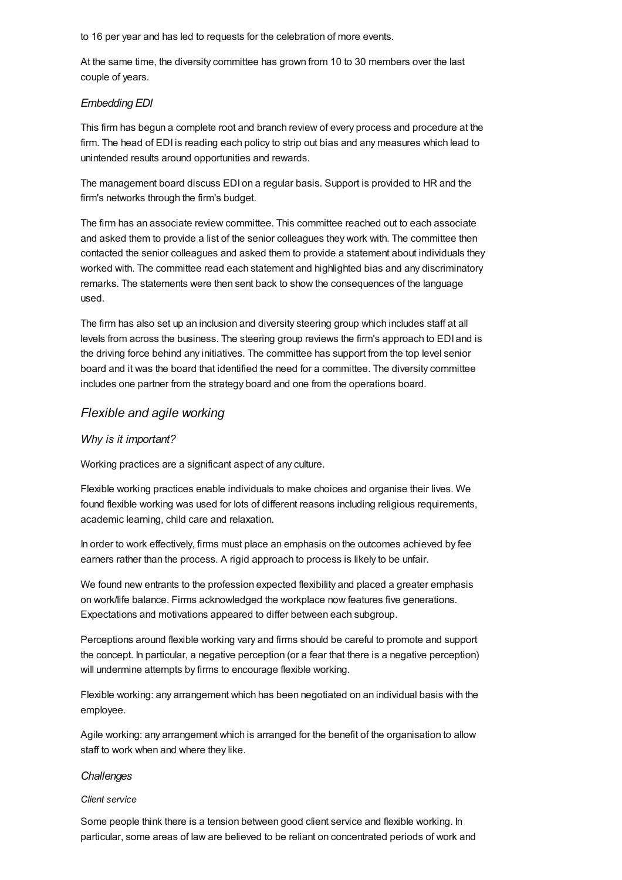to 16 per year and has led to requests for the celebration of more events.

At the same time, the diversity committee has grown from 10 to 30 members over the last couple of years.

#### *Embedding EDI*

This firm has begun a complete root and branch review of every process and procedure at the firm. The head of EDI is reading each policy to strip out bias and any measures which lead to unintended results around opportunities and rewards.

The management board discuss EDI on a regular basis. Support is provided to HR and the firm's networks through the firm's budget.

The firm has an associate review committee. This committee reached out to each associate and asked them to provide a list of the senior colleagues they work with. The committee then contacted the senior colleagues and asked them to provide a statement about individuals they worked with. The committee read each statement and highlighted bias and any discriminatory remarks. The statements were then sent back to show the consequences of the language used.

The firm has also set up an inclusion and diversity steering group which includes staff at all levels from across the business. The steering group reviews the firm's approach to EDI and is the driving force behind any initiatives. The committee has support from the top level senior board and it was the board that identified the need for a committee. The diversity committee includes one partner from the strategy board and one from the operations board.

## *Flexible and agile working*

#### *Why is it important?*

Working practices are a significant aspect of any culture.

Flexible working practices enable individuals to make choices and organise their lives. We found flexible working was used for lots of different reasons including religious requirements, academic learning, child care and relaxation.

In order to work effectively, firms must place an emphasis on the outcomes achieved by fee earners rather than the process. A rigid approach to process is likely to be unfair.

We found new entrants to the profession expected flexibility and placed a greater emphasis on work/life balance. Firms acknowledged the workplace now features five generations. Expectations and motivations appeared to differ between each subgroup.

Perceptions around flexible working vary and firms should be careful to promote and support the concept. In particular, a negative perception (or a fear that there is a negative perception) will undermine attempts by firms to encourage flexible working.

Flexible working: any arrangement which has been negotiated on an individual basis with the employee.

Agile working: any arrangement which is arranged for the benefit of the organisation to allow staff to work when and where they like.

#### *Challenges*

#### *Client service*

Some people think there is a tension between good client service and flexible working. In particular, some areas of law are believed to be reliant on concentrated periods of work and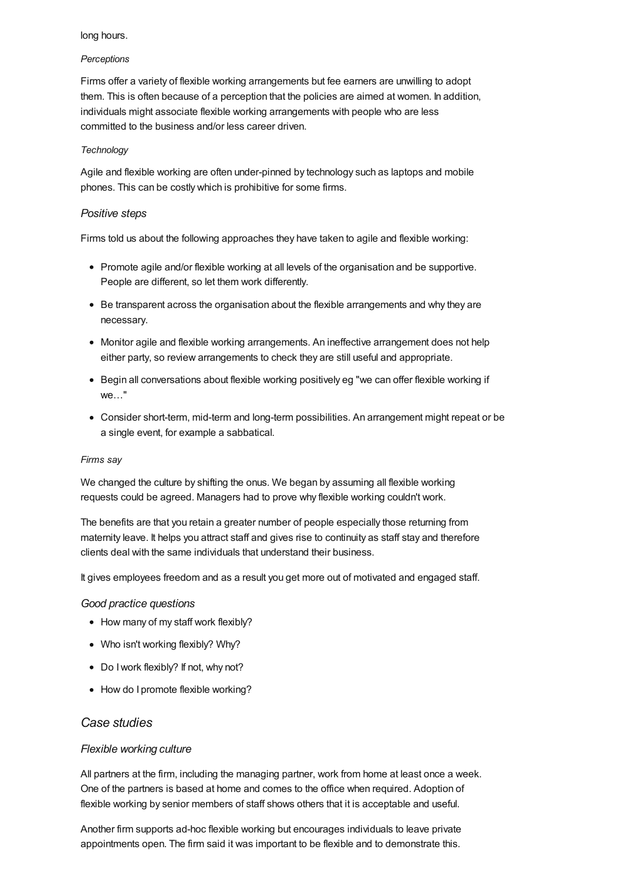#### long hours.

#### *Perceptions*

Firms offer a variety of flexible working arrangements but fee earners are unwilling to adopt them. This is often because of a perception that the policies are aimed at women. In addition, individuals might associate flexible working arrangements with people who are less committed to the business and/or less career driven.

#### *Technology*

Agile and flexible working are often under-pinned by technology such as laptops and mobile phones. This can be costly which is prohibitive for some firms.

#### *Positive steps*

Firms told us about the following approaches they have taken to agile and flexible working:

- Promote agile and/or flexible working at all levels of the organisation and be supportive. People are different, so let them work differently.
- Be transparent across the organisation about the flexible arrangements and why they are necessary.
- Monitor agile and flexible working arrangements. An ineffective arrangement does not help either party, so review arrangements to check they are still useful and appropriate.
- Begin all conversations about flexible working positively eg "we can offer flexible working if we…"
- Consider short-term, mid-term and long-term possibilities. An arrangement might repeat or be a single event, for example a sabbatical.

#### *Firms say*

We changed the culture by shifting the onus. We began by assuming all flexible working requests could be agreed. Managers had to prove why flexible working couldn't work.

The benefits are that you retain a greater number of people especially those returning from maternity leave. It helps you attract staff and gives rise to continuity as staff stay and therefore clients deal with the same individuals that understand their business.

It gives employees freedom and as a result you get more out of motivated and engaged staff.

#### *Good practice questions*

- How many of my staff work flexibly?
- Who isn't working flexibly? Why?
- Do I work flexibly? If not, why not?
- How do I promote flexible working?

## *Case studies*

#### *Flexible working culture*

All partners at the firm, including the managing partner, work from home at least once a week. One of the partners is based at home and comes to the office when required. Adoption of flexible working by senior members of staff shows others that it is acceptable and useful.

Another firm supports ad-hoc flexible working but encourages individuals to leave private appointments open. The firm said it was important to be flexible and to demonstrate this.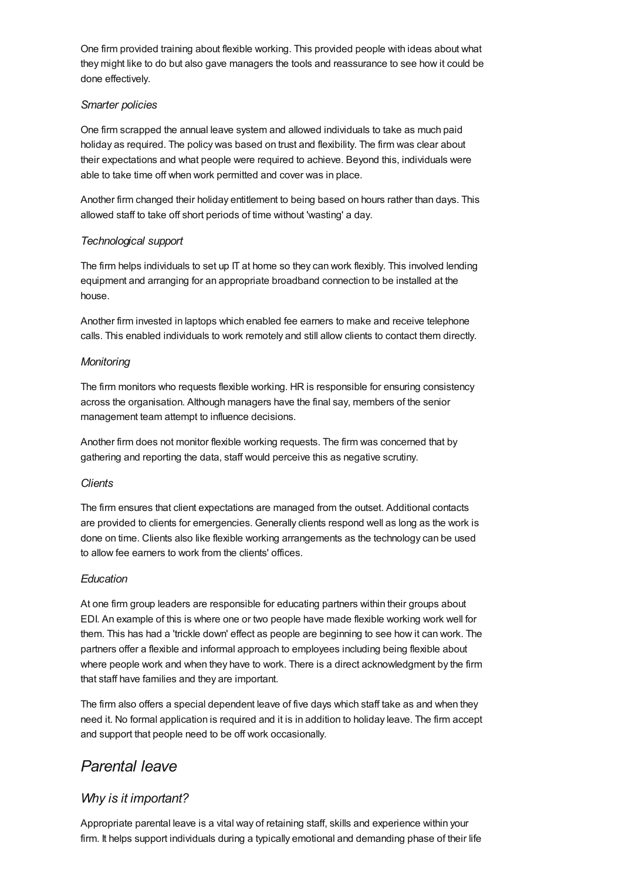One firm provided training about flexible working. This provided people with ideas about what they might like to do but also gave managers the tools and reassurance to see how it could be done effectively.

#### *Smarter policies*

One firm scrapped the annual leave system and allowed individuals to take as much paid holiday as required. The policy was based on trust and flexibility. The firm was clear about their expectations and what people were required to achieve. Beyond this, individuals were able to take time off when work permitted and cover was in place.

Another firm changed their holiday entitlement to being based on hours rather than days. This allowed staff to take off short periods of time without 'wasting' a day.

## *Technological support*

The firm helps individuals to set up IT at home so they can work flexibly. This involved lending equipment and arranging for an appropriate broadband connection to be installed at the house.

Another firm invested in laptops which enabled fee earners to make and receive telephone calls. This enabled individuals to work remotely and still allow clients to contact them directly.

### *Monitoring*

The firm monitors who requests flexible working. HR is responsible for ensuring consistency across the organisation. Although managers have the final say, members of the senior management team attempt to influence decisions.

Another firm does not monitor flexible working requests. The firm was concerned that by gathering and reporting the data, staff would perceive this as negative scrutiny.

#### *Clients*

The firm ensures that client expectations are managed from the outset. Additional contacts are provided to clients for emergencies. Generally clients respond well as long as the work is done on time. Clients also like flexible working arrangements as the technology can be used to allow fee earners to work from the clients' offices.

## *Education*

At one firm group leaders are responsible for educating partners within their groups about EDI. An example of this is where one or two people have made flexible working work well for them. This has had a 'trickle down' effect as people are beginning to see how it can work. The partners offer a flexible and informal approach to employees including being flexible about where people work and when they have to work. There is a direct acknowledgment by the firm that staff have families and they are important.

The firm also offers a special dependent leave of five days which staff take as and when they need it. No formal application is required and it is in addition to holiday leave. The firm accept and support that people need to be off work occasionally.

## *Parental leave*

## *Why is it important?*

Appropriate parental leave is a vital way of retaining staff, skills and experience within your firm. It helps support individuals during a typically emotional and demanding phase of their life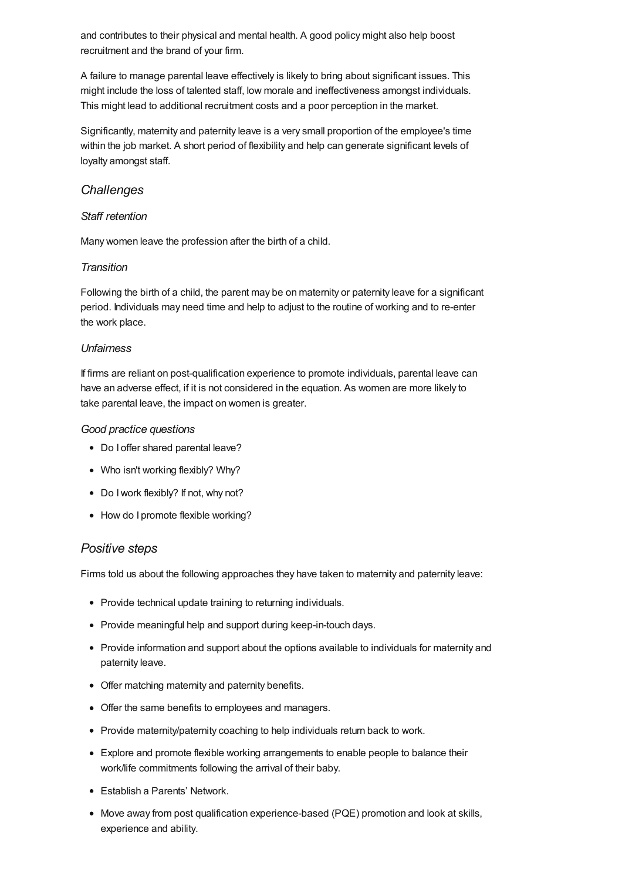and contributes to their physical and mental health. A good policy might also help boost recruitment and the brand of your firm.

A failure to manage parental leave effectively is likely to bring about significant issues. This might include the loss of talented staff, low morale and ineffectiveness amongst individuals. This might lead to additional recruitment costs and a poor perception in the market.

Significantly, maternity and paternity leave is a very small proportion of the employee's time within the job market. A short period of flexibility and help can generate significant levels of loyalty amongst staff.

### *Challenges*

#### *Staff retention*

Many women leave the profession after the birth of a child.

#### *Transition*

Following the birth of a child, the parent may be on maternity or paternity leave for a significant period. Individuals may need time and help to adjust to the routine of working and to re-enter the work place.

#### *Unfairness*

If firms are reliant on post-qualification experience to promote individuals, parental leave can have an adverse effect, if it is not considered in the equation. As women are more likely to take parental leave, the impact on women is greater.

#### *Good practice questions*

- Do I offer shared parental leave?
- Who isn't working flexibly? Why?
- Do I work flexibly? If not, why not?
- How do I promote flexible working?

## *Positive steps*

Firms told us about the following approaches they have taken to maternity and paternity leave:

- Provide technical update training to returning individuals.
- Provide meaningful help and support during keep-in-touch days.
- Provide information and support about the options available to individuals for maternity and paternity leave.
- Offer matching maternity and paternity benefits.
- Offer the same benefits to employees and managers.
- Provide maternity/paternity coaching to help individuals return back to work.
- Explore and promote flexible working arrangements to enable people to balance their work/life commitments following the arrival of their baby.
- Establish a Parents' Network.
- Move away from post qualification experience-based (PQE) promotion and look at skills, experience and ability.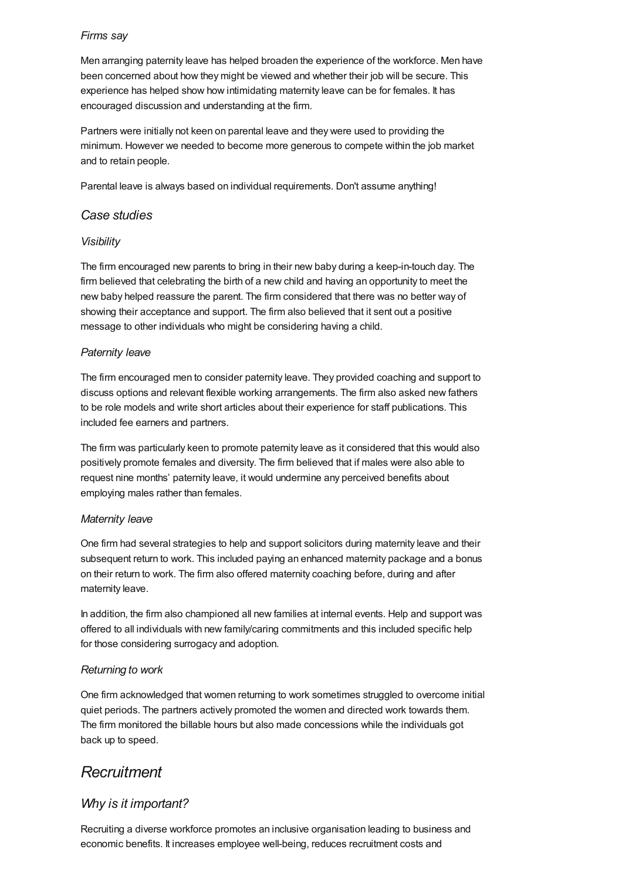### *Firms say*

Men arranging paternity leave has helped broaden the experience of the workforce. Men have been concerned about how they might be viewed and whether their job will be secure. This experience has helped show how intimidating maternity leave can be for females. It has encouraged discussion and understanding at the firm.

Partners were initially not keen on parental leave and they were used to providing the minimum. However we needed to become more generous to compete within the job market and to retain people.

Parental leave is always based on individual requirements. Don't assume anything!

### *Case studies*

#### *Visibility*

The firm encouraged new parents to bring in their new baby during a keep-in-touch day. The firm believed that celebrating the birth of a new child and having an opportunity to meet the new baby helped reassure the parent. The firm considered that there was no better way of showing their acceptance and support. The firm also believed that it sent out a positive message to other individuals who might be considering having a child.

### *Paternity leave*

The firm encouraged men to consider paternity leave. They provided coaching and support to discuss options and relevant flexible working arrangements. The firm also asked new fathers to be role models and write short articles about their experience for staff publications. This included fee earners and partners.

The firm was particularly keen to promote paternity leave as it considered that this would also positively promote females and diversity. The firm believed that if males were also able to request nine months' paternity leave, it would undermine any perceived benefits about employing males rather than females.

#### *Maternity leave*

One firm had several strategies to help and support solicitors during maternity leave and their subsequent return to work. This included paying an enhanced maternity package and a bonus on their return to work. The firm also offered maternity coaching before, during and after maternity leave.

In addition, the firm also championed all new families at internal events. Help and support was offered to all individuals with new family/caring commitments and this included specific help for those considering surrogacy and adoption.

## *Returning to work*

One firm acknowledged that women returning to work sometimes struggled to overcome initial quiet periods. The partners actively promoted the women and directed work towards them. The firm monitored the billable hours but also made concessions while the individuals got back up to speed.

## *Recruitment*

## *Why is it important?*

Recruiting a diverse workforce promotes an inclusive organisation leading to business and economic benefits. It increases employee well-being, reduces recruitment costs and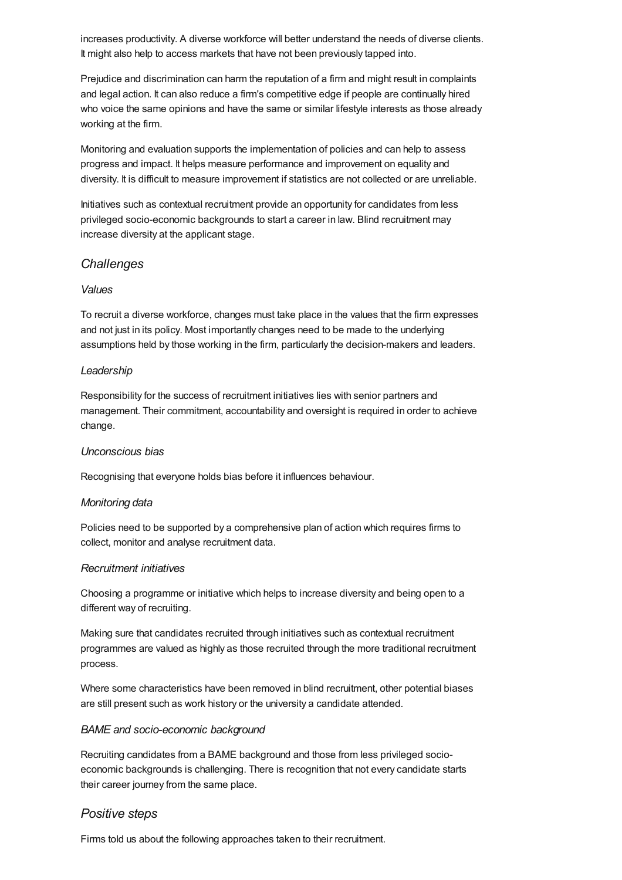increases productivity. A diverse workforce will better understand the needs of diverse clients. It might also help to access markets that have not been previously tapped into.

Prejudice and discrimination can harm the reputation of a firm and might result in complaints and legal action. It can also reduce a firm's competitive edge if people are continually hired who voice the same opinions and have the same or similar lifestyle interests as those already working at the firm.

Monitoring and evaluation supports the implementation of policies and can help to assess progress and impact. It helps measure performance and improvement on equality and diversity. It is difficult to measure improvement if statistics are not collected or are unreliable.

Initiatives such as contextual recruitment provide an opportunity for candidates from less privileged socio-economic backgrounds to start a career in law. Blind recruitment may increase diversity at the applicant stage.

### *Challenges*

#### *Values*

To recruit a diverse workforce, changes must take place in the values that the firm expresses and not just in its policy. Most importantly changes need to be made to the underlying assumptions held by those working in the firm, particularly the decision-makers and leaders.

#### *Leadership*

Responsibility for the success of recruitment initiatives lies with senior partners and management. Their commitment, accountability and oversight is required in order to achieve change.

#### *Unconscious bias*

Recognising that everyone holds bias before it influences behaviour.

#### *Monitoring data*

Policies need to be supported by a comprehensive plan of action which requires firms to collect, monitor and analyse recruitment data.

#### *Recruitment initiatives*

Choosing a programme or initiative which helps to increase diversity and being open to a different way of recruiting.

Making sure that candidates recruited through initiatives such as contextual recruitment programmes are valued as highly as those recruited through the more traditional recruitment process.

Where some characteristics have been removed in blind recruitment, other potential biases are still present such as work history or the university a candidate attended.

#### *BAME and socio-economic background*

Recruiting candidates from a BAME background and those from less privileged socioeconomic backgrounds is challenging. There is recognition that not every candidate starts their career journey from the same place.

## *Positive steps*

Firms told us about the following approaches taken to their recruitment.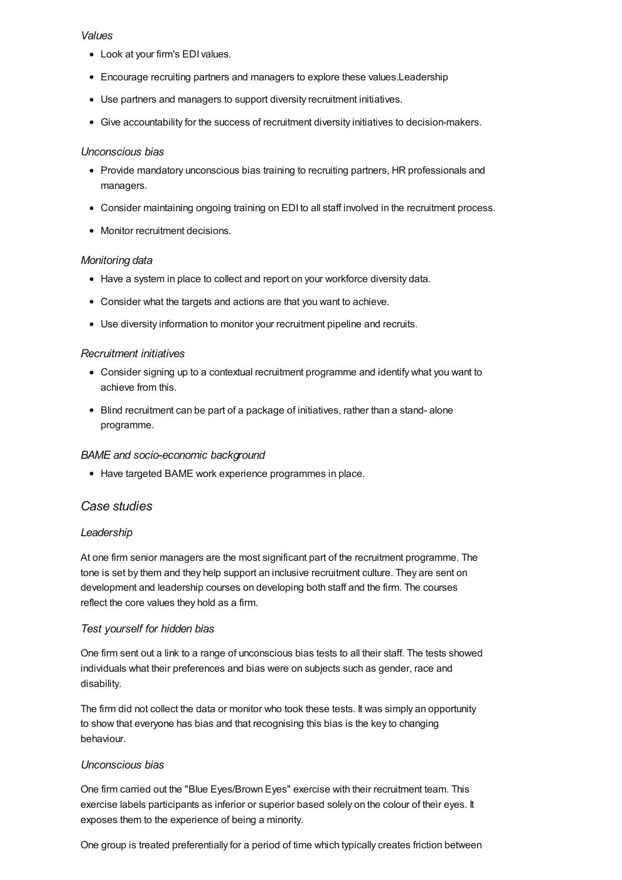#### *Values*

- Look at your firm's EDI values.
- Encourage recruiting partners and managers to explore these values.Leadership
- Use partners and managers to support diversity recruitment initiatives.
- Give accountability for the success of recruitment diversity initiatives to decision-makers.

#### *Unconscious bias*

- Provide mandatory unconscious bias training to recruiting partners, HR professionals and managers.
- Consider maintaining ongoing training on EDI to all staff involved in the recruitment process.
- Monitor recruitment decisions.

#### *Monitoring data*

- Have a system in place to collect and report on your workforce diversity data.
- Consider what the targets and actions are that you want to achieve.
- Use diversity information to monitor your recruitment pipeline and recruits.

#### *Recruitment initiatives*

- Consider signing up to a contextual recruitment programme and identify what you want to achieve from this.
- Blind recruitment can be part of a package of initiatives, rather than a stand- alone programme.

#### *BAME and socio-economic background*

• Have targeted BAME work experience programmes in place.

## *Case studies*

#### *Leadership*

At one firm senior managers are the most significant part of the recruitment programme. The tone is set by them and they help support an inclusive recruitment culture. They are sent on development and leadership courses on developing both staff and the firm. The courses reflect the core values they hold as a firm.

#### *Test yourself for hidden bias*

One firm sent out a link to a range of unconscious bias tests to all their staff. The tests showed individuals what their preferences and bias were on subjects such as gender, race and disability.

The firm did not collect the data or monitor who took these tests. It was simply an opportunity to show that everyone has bias and that recognising this bias is the key to changing behaviour.

#### *Unconscious bias*

One firm carried out the "Blue Eyes/Brown Eyes" exercise with their recruitment team. This exercise labels participants as inferior or superior based solely on the colour of their eyes. It exposes them to the experience of being a minority.

One group is treated preferentially for a period of time which typically creates friction between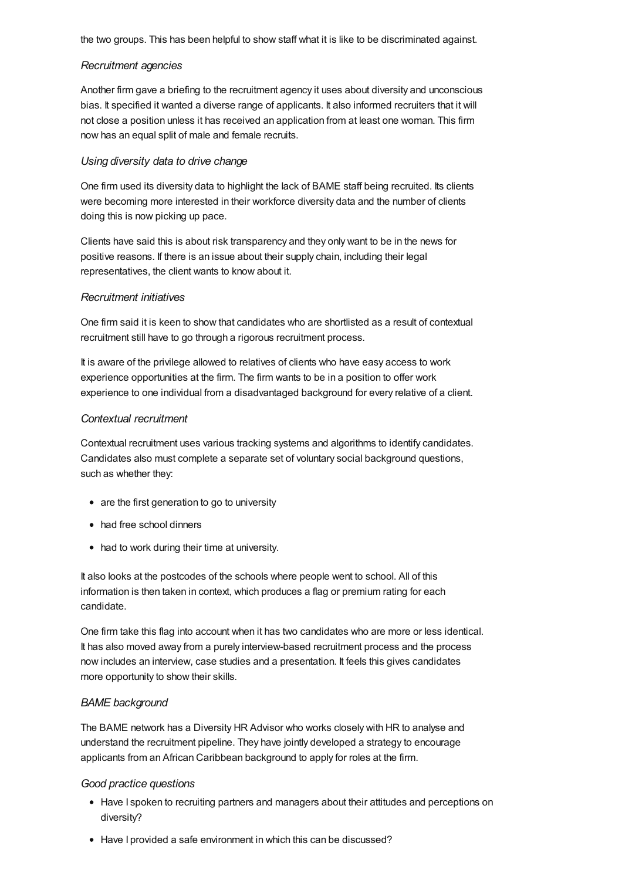the two groups. This has been helpful to show staff what it is like to be discriminated against.

#### *Recruitment agencies*

Another firm gave a briefing to the recruitment agency it uses about diversity and unconscious bias. It specified it wanted a diverse range of applicants. It also informed recruiters that it will not close a position unless it has received an application from at least one woman. This firm now has an equal split of male and female recruits.

#### *Using diversity data to drive change*

One firm used its diversity data to highlight the lack of BAME staff being recruited. Its clients were becoming more interested in their workforce diversity data and the number of clients doing this is now picking up pace.

Clients have said this is about risk transparency and they only want to be in the news for positive reasons. If there is an issue about their supply chain, including their legal representatives, the client wants to know about it.

#### *Recruitment initiatives*

One firm said it is keen to show that candidates who are shortlisted as a result of contextual recruitment still have to go through a rigorous recruitment process.

It is aware of the privilege allowed to relatives of clients who have easy access to work experience opportunities at the firm. The firm wants to be in a position to offer work experience to one individual from a disadvantaged background for every relative of a client.

#### *Contextual recruitment*

Contextual recruitment uses various tracking systems and algorithms to identify candidates. Candidates also must complete a separate set of voluntary social background questions, such as whether they:

- are the first generation to go to university
- had free school dinners
- had to work during their time at university.

It also looks at the postcodes of the schools where people went to school. All of this information is then taken in context, which produces a flag or premium rating for each candidate.

One firm take this flag into account when it has two candidates who are more or less identical. It has also moved away from a purely interview-based recruitment process and the process now includes an interview, case studies and a presentation. It feels this gives candidates more opportunity to show their skills.

#### *BAME background*

The BAME network has a Diversity HR Advisor who works closely with HR to analyse and understand the recruitment pipeline. They have jointly developed a strategy to encourage applicants from an African Caribbean background to apply for roles at the firm.

#### *Good practice questions*

- Have I spoken to recruiting partners and managers about their attitudes and perceptions on diversity?
- Have I provided a safe environment in which this can be discussed?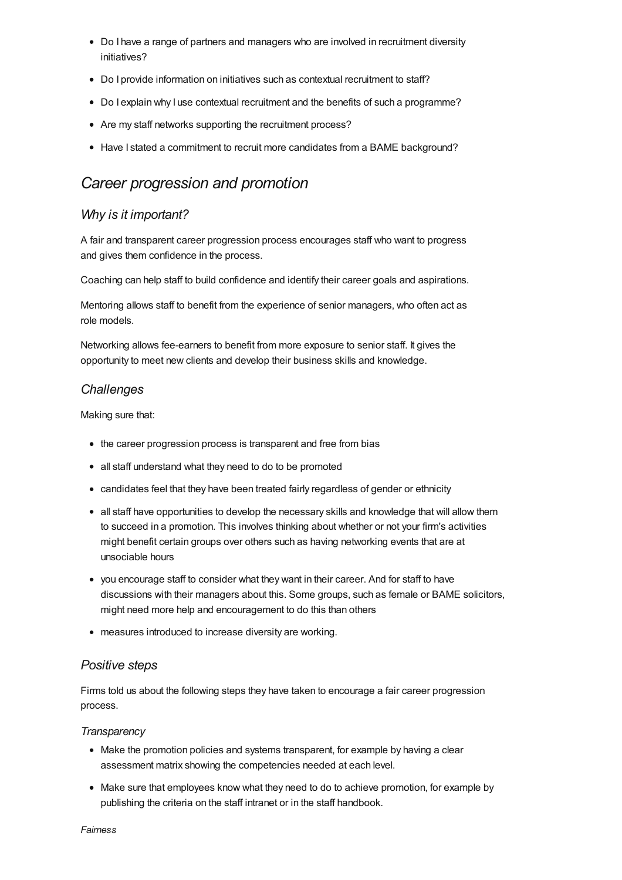- Do I have a range of partners and managers who are involved in recruitment diversity initiatives?
- Do I provide information on initiatives such as contextual recruitment to staff?
- Do I explain why I use contextual recruitment and the benefits of such a programme?
- Are my staff networks supporting the recruitment process?
- Have I stated a commitment to recruit more candidates from a BAME background?

## *Career progression and promotion*

## *Why is it important?*

A fair and transparent career progression process encourages staff who want to progress and gives them confidence in the process.

Coaching can help staff to build confidence and identify their career goals and aspirations.

Mentoring allows staff to benefit from the experience of senior managers, who often act as role models.

Networking allows fee-earners to benefit from more exposure to senior staff. It gives the opportunity to meet new clients and develop their business skills and knowledge.

## *Challenges*

Making sure that:

- the career progression process is transparent and free from bias
- all staff understand what they need to do to be promoted
- candidates feel that they have been treated fairly regardless of gender or ethnicity
- all staff have opportunities to develop the necessary skills and knowledge that will allow them to succeed in a promotion. This involves thinking about whether or not your firm's activities might benefit certain groups over others such as having networking events that are at unsociable hours
- you encourage staff to consider what they want in their career. And for staff to have discussions with their managers about this. Some groups, such as female or BAME solicitors, might need more help and encouragement to do this than others
- measures introduced to increase diversity are working.

#### *Positive steps*

Firms told us about the following steps they have taken to encourage a fair career progression process.

#### *Transparency*

- Make the promotion policies and systems transparent, for example by having a clear assessment matrix showing the competencies needed at each level.
- Make sure that employees know what they need to do to achieve promotion, for example by publishing the criteria on the staff intranet or in the staff handbook.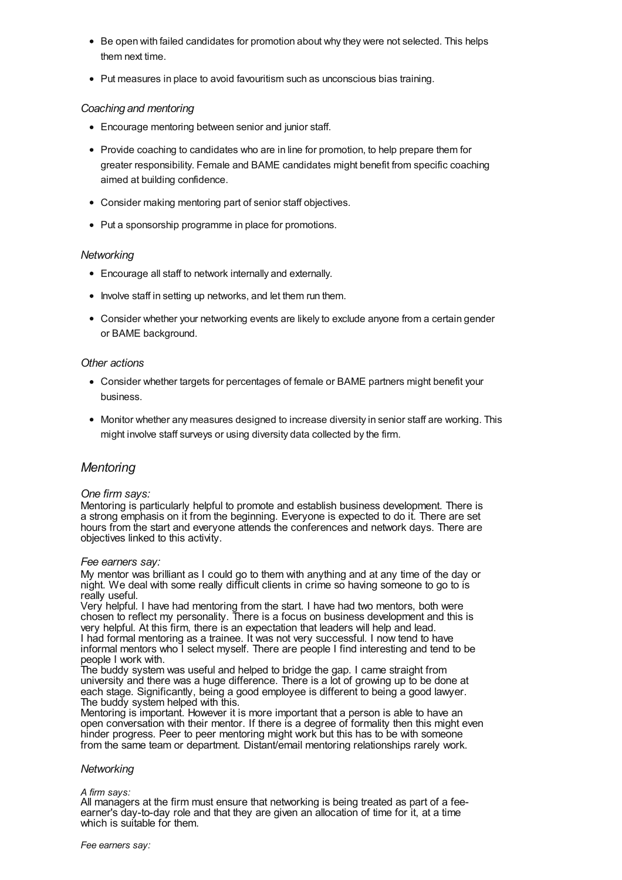- Be open with failed candidates for promotion about why they were not selected. This helps them next time.
- Put measures in place to avoid favouritism such as unconscious bias training.

#### *Coaching and mentoring*

- Encourage mentoring between senior and junior staff.
- Provide coaching to candidates who are in line for promotion, to help prepare them for greater responsibility. Female and BAME candidates might benefit from specific coaching aimed at building confidence.
- Consider making mentoring part of senior staff objectives.
- Put a sponsorship programme in place for promotions.

#### *Networking*

- Encourage all staff to network internally and externally.
- Involve staff in setting up networks, and let them run them.
- Consider whether your networking events are likely to exclude anyone from a certain gender or BAME background.

#### *Other actions*

- Consider whether targets for percentages of female or BAME partners might benefit your business.
- Monitor whether any measures designed to increase diversity in senior staff are working. This might involve staff surveys or using diversity data collected by the firm.

## *Mentoring*

#### *One firm says:*

Mentoring is particularly helpful to promote and establish business development. There is a strong emphasis on it from the beginning. Everyone is expected to do it. There are set hours from the start and everyone attends the conferences and network days. There are objectives linked to this activity.

#### *Fee earners say:*

My mentor was brilliant as I could go to them with anything and at any time of the day or night. We deal with some really difficult clients in crime so having someone to go to is really useful.

Very helpful. I have had mentoring from the start. I have had two mentors, both were chosen to reflect my personality. There is a focus on business development and this is very helpful. At this firm, there is an expectation that leaders will help and lead. I had formal mentoring as a trainee. It was not very successful. I now tend to have informal mentors who I select myself. There are people I find interesting and tend to be people I work with.

The buddy system was useful and helped to bridge the gap. I came straight from university and there was a huge difference. There is a lot of growing up to be done at each stage. Significantly, being a good employee is different to being a good lawyer.

Mentoring is important. However it is more important that a person is able to have an open conversation with their mentor. If there is a degree of formality then this might even hinder progress. Peer to peer mentoring might work but this has to be with someone from the same team or department. Distant/email mentoring relationships rarely work.

#### *Networking*

#### *A firm says:*

All managers at the firm must ensure that networking is being treated as part of a feeearner's day-to-day role and that they are given an allocation of time for it, at a time which is suitable for them.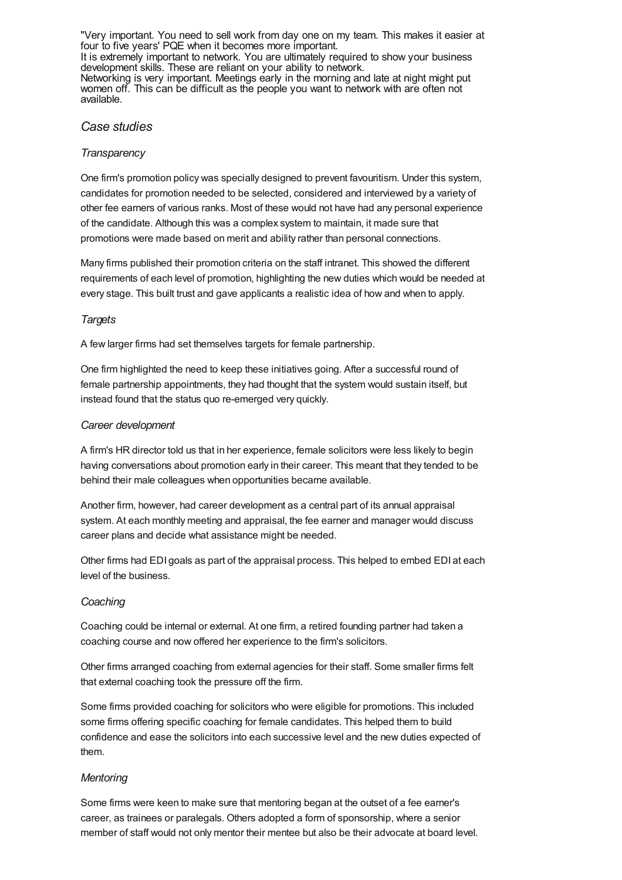"Very important. You need to sell work from day one on my team. This makes it easier at four to five years' PQE when it becomes more important. It is extremely important to network. You are ultimately required to show your business development skills. These are reliant on your ability to network. Networking is very important. Meetings early in the morning and late at night might put women off. This can be difficult as the people you want to network with are often not available.

#### *Case studies*

#### *Transparency*

One firm's promotion policy was specially designed to prevent favouritism. Under this system, candidates for promotion needed to be selected, considered and interviewed by a variety of other fee earners of various ranks. Most of these would not have had any personal experience of the candidate. Although this was a complex system to maintain, it made sure that promotions were made based on merit and ability rather than personal connections.

Many firms published their promotion criteria on the staff intranet. This showed the different requirements of each level of promotion, highlighting the new duties which would be needed at every stage. This built trust and gave applicants a realistic idea of how and when to apply.

### *Targets*

A few larger firms had set themselves targets for female partnership.

One firm highlighted the need to keep these initiatives going. After a successful round of female partnership appointments, they had thought that the system would sustain itself, but instead found that the status quo re-emerged very quickly.

### *Career development*

A firm's HR director told us that in her experience, female solicitors were less likely to begin having conversations about promotion early in their career. This meant that they tended to be behind their male colleagues when opportunities became available.

Another firm, however, had career development as a central part of its annual appraisal system. At each monthly meeting and appraisal, the fee earner and manager would discuss career plans and decide what assistance might be needed.

Other firms had EDI goals as part of the appraisal process. This helped to embed EDI at each level of the business.

#### *Coaching*

Coaching could be internal or external. At one firm, a retired founding partner had taken a coaching course and now offered her experience to the firm's solicitors.

Other firms arranged coaching from external agencies for their staff. Some smaller firms felt that external coaching took the pressure off the firm.

Some firms provided coaching for solicitors who were eligible for promotions. This included some firms offering specific coaching for female candidates. This helped them to build confidence and ease the solicitors into each successive level and the new duties expected of them.

#### *Mentoring*

Some firms were keen to make sure that mentoring began at the outset of a fee earner's career, as trainees or paralegals. Others adopted a form of sponsorship, where a senior member of staff would not only mentor their mentee but also be their advocate at board level.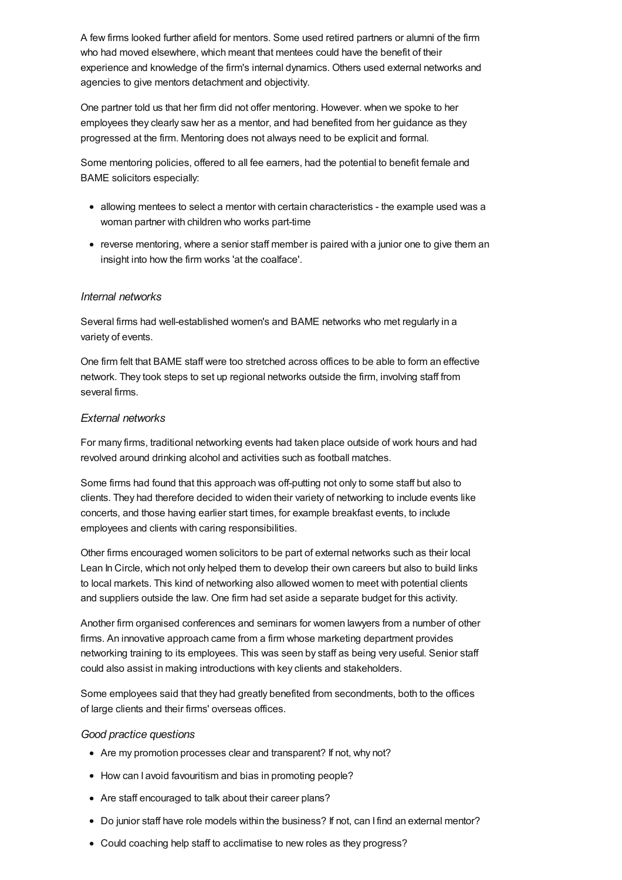A few firms looked further afield for mentors. Some used retired partners or alumni of the firm who had moved elsewhere, which meant that mentees could have the benefit of their experience and knowledge of the firm's internal dynamics. Others used external networks and agencies to give mentors detachment and objectivity.

One partner told us that her firm did not offer mentoring. However. when we spoke to her employees they clearly saw her as a mentor, and had benefited from her guidance as they progressed at the firm. Mentoring does not always need to be explicit and formal.

Some mentoring policies, offered to all fee earners, had the potential to benefit female and BAME solicitors especially:

- allowing mentees to select a mentor with certain characteristics the example used was a woman partner with children who works part-time
- reverse mentoring, where a senior staff member is paired with a junior one to give them an insight into how the firm works 'at the coalface'.

#### *Internal networks*

Several firms had well-established women's and BAME networks who met regularly in a variety of events.

One firm felt that BAME staff were too stretched across offices to be able to form an effective network. They took steps to set up regional networks outside the firm, involving staff from several firms.

#### *External networks*

For many firms, traditional networking events had taken place outside of work hours and had revolved around drinking alcohol and activities such as football matches.

Some firms had found that this approach was off-putting not only to some staff but also to clients. They had therefore decided to widen their variety of networking to include events like concerts, and those having earlier start times, for example breakfast events, to include employees and clients with caring responsibilities.

Other firms encouraged women solicitors to be part of external networks such as their local Lean In Circle, which not only helped them to develop their own careers but also to build links to local markets. This kind of networking also allowed women to meet with potential clients and suppliers outside the law. One firm had set aside a separate budget for this activity.

Another firm organised conferences and seminars for women lawyers from a number of other firms. An innovative approach came from a firm whose marketing department provides networking training to its employees. This was seen by staff as being very useful. Senior staff could also assist in making introductions with key clients and stakeholders.

Some employees said that they had greatly benefited from secondments, both to the offices of large clients and their firms' overseas offices.

#### *Good practice questions*

- Are my promotion processes clear and transparent? If not, why not?
- How can I avoid favouritism and bias in promoting people?
- Are staff encouraged to talk about their career plans?
- Do junior staff have role models within the business? If not, can I find an external mentor?
- Could coaching help staff to acclimatise to new roles as they progress?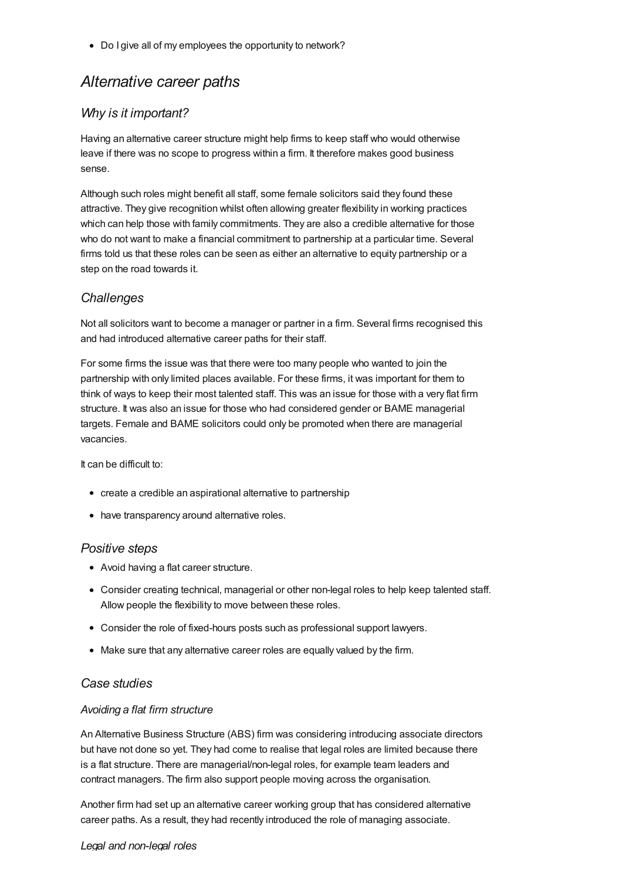• Do I give all of my employees the opportunity to network?

## *Alternative career paths*

## *Why is it important?*

Having an alternative career structure might help firms to keep staff who would otherwise leave if there was no scope to progress within a firm. It therefore makes good business sense.

Although such roles might benefit all staff, some female solicitors said they found these attractive. They give recognition whilst often allowing greater flexibility in working practices which can help those with family commitments. They are also a credible alternative for those who do not want to make a financial commitment to partnership at a particular time. Several firms told us that these roles can be seen as either an alternative to equity partnership or a step on the road towards it.

## *Challenges*

Not all solicitors want to become a manager or partner in a firm. Several firms recognised this and had introduced alternative career paths for their staff.

For some firms the issue was that there were too many people who wanted to join the partnership with only limited places available. For these firms, it was important for them to think of ways to keep their most talented staff. This was an issue for those with a very flat firm structure. It was also an issue for those who had considered gender or BAME managerial targets. Female and BAME solicitors could only be promoted when there are managerial vacancies.

It can be difficult to:

- create a credible an aspirational alternative to partnership
- have transparency around alternative roles.

## *Positive steps*

- Avoid having a flat career structure.
- Consider creating technical, managerial or other non-legal roles to help keep talented staff. Allow people the flexibility to move between these roles.
- Consider the role of fixed-hours posts such as professional support lawyers.
- Make sure that any alternative career roles are equally valued by the firm.

## *Case studies*

## *Avoiding a flat firm structure*

An Alternative Business Structure (ABS) firm was considering introducing associate directors but have not done so yet. They had come to realise that legal roles are limited because there is a flat structure. There are managerial/non-legal roles, for example team leaders and contract managers. The firm also support people moving across the organisation.

Another firm had set up an alternative career working group that has considered alternative career paths. As a result, they had recently introduced the role of managing associate.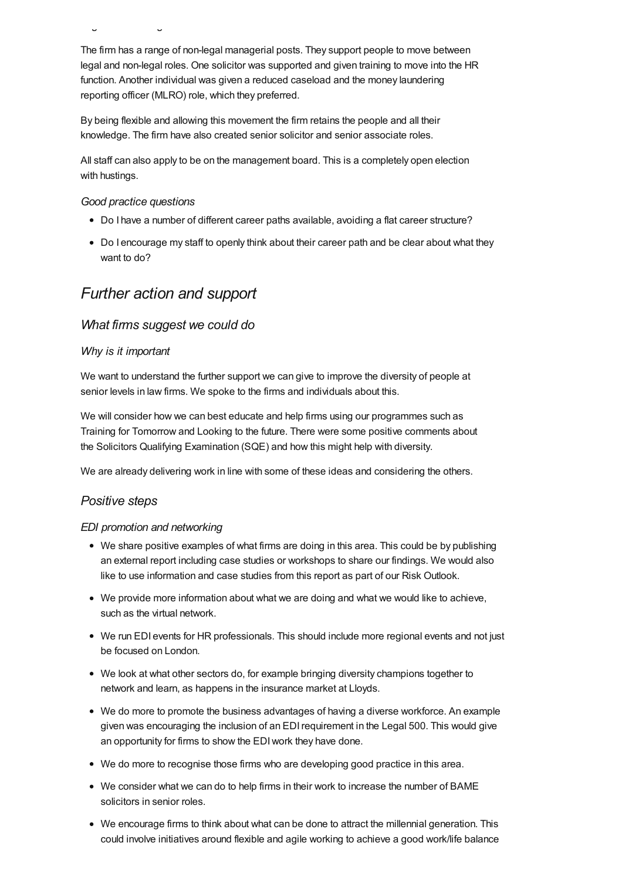The firm has a range of non-legal managerial posts. They support people to move between legal and non-legal roles. One solicitor was supported and given training to move into the HR function. Another individual was given a reduced caseload and the money laundering reporting officer (MLRO) role, which they preferred.

By being flexible and allowing this movement the firm retains the people and all their knowledge. The firm have also created senior solicitor and senior associate roles.

All staff can also apply to be on the management board. This is a completely open election with hustings.

*Good practice questions*

*Legal and non-legal roles*

- Do I have a number of different career paths available, avoiding a flat career structure?
- Do I encourage my staff to openly think about their career path and be clear about what they want to do?

## *Further action and support*

#### *What firms suggest we could do*

#### *Why is it important*

We want to understand the further support we can give to improve the diversity of people at senior levels in law firms. We spoke to the firms and individuals about this.

We will consider how we can best educate and help firms using our programmes such as Training for Tomorrow and Looking to the future. There were some positive comments about the Solicitors Qualifying Examination (SQE) and how this might help with diversity.

We are already delivering work in line with some of these ideas and considering the others.

#### *Positive steps*

#### *EDI promotion and networking*

- We share positive examples of what firms are doing in this area. This could be by publishing an external report including case studies or workshops to share our findings. We would also like to use information and case studies from this report as part of our Risk Outlook.
- We provide more information about what we are doing and what we would like to achieve, such as the virtual network.
- We run EDI events for HR professionals. This should include more regional events and not just be focused on London.
- We look at what other sectors do, for example bringing diversity champions together to network and learn, as happens in the insurance market at Lloyds.
- We do more to promote the business advantages of having a diverse workforce. An example given was encouraging the inclusion of an EDIrequirement in the Legal 500. This would give an opportunity for firms to show the EDIwork they have done.
- We do more to recognise those firms who are developing good practice in this area.
- We consider what we can do to help firms in their work to increase the number of BAME solicitors in senior roles.
- We encourage firms to think about what can be done to attract the millennial generation. This could involve initiatives around flexible and agile working to achieve a good work/life balance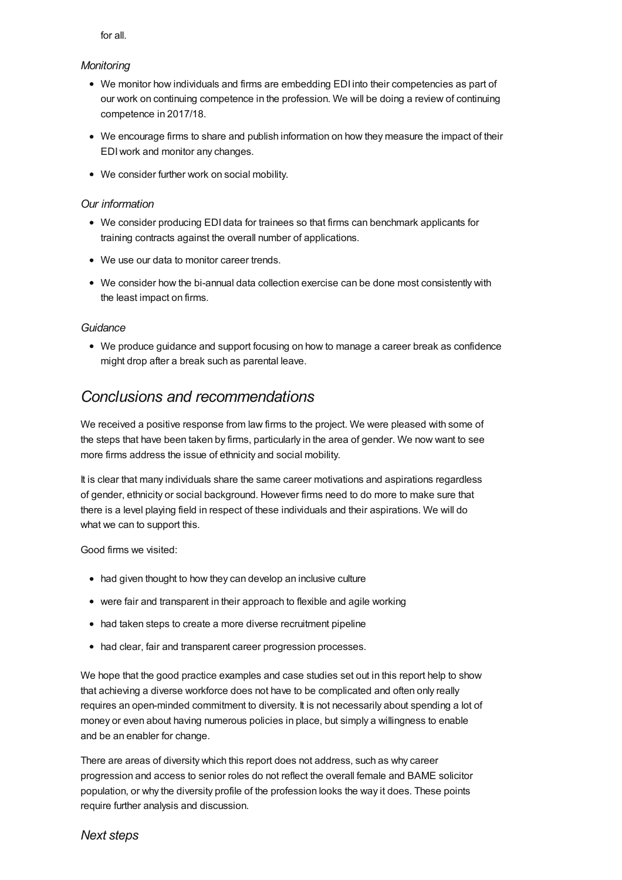for all.

#### *Monitoring*

- We monitor how individuals and firms are embedding EDI into their competencies as part of our work on continuing competence in the profession. We will be doing a review of continuing competence in 2017/18.
- We encourage firms to share and publish information on how they measure the impact of their EDIwork and monitor any changes.
- We consider further work on social mobility.

### *Our information*

- We consider producing EDI data for trainees so that firms can benchmark applicants for training contracts against the overall number of applications.
- We use our data to monitor career trends.
- We consider how the bi-annual data collection exercise can be done most consistently with the least impact on firms.

#### *Guidance*

We produce guidance and support focusing on how to manage a career break as confidence might drop after a break such as parental leave.

## *Conclusions and recommendations*

We received a positive response from law firms to the project. We were pleased with some of the steps that have been taken by firms, particularly in the area of gender. We now want to see more firms address the issue of ethnicity and social mobility.

It is clear that many individuals share the same career motivations and aspirations regardless of gender, ethnicity or social background. However firms need to do more to make sure that there is a level playing field in respect of these individuals and their aspirations. We will do what we can to support this.

Good firms we visited:

- had given thought to how they can develop an inclusive culture
- were fair and transparent in their approach to flexible and agile working
- had taken steps to create a more diverse recruitment pipeline
- had clear, fair and transparent career progression processes.

We hope that the good practice examples and case studies set out in this report help to show that achieving a diverse workforce does not have to be complicated and often only really requires an open-minded commitment to diversity. It is not necessarily about spending a lot of money or even about having numerous policies in place, but simply a willingness to enable and be an enabler for change.

There are areas of diversity which this report does not address, such as why career progression and access to senior roles do not reflect the overall female and BAME solicitor population, or why the diversity profile of the profession looks the way it does. These points require further analysis and discussion.

## *Next steps*